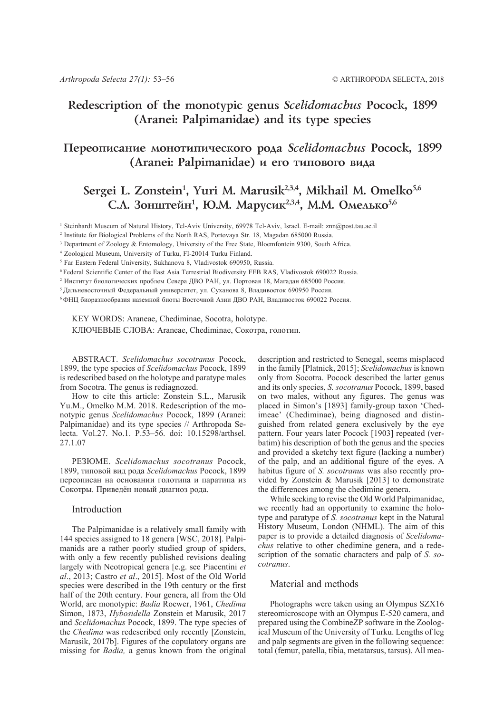# **Redescription of the monotypic genus** *Scelidomachus* **Pocock, 1899 (Aranei: Palpimanidae) and its type species**

# **Ïåðåîïèñàíèå ìîíîòèïè÷åñêîãî ðîäà** *Scelidomachus* **Pocock, 1899** (Aranei: Palpimanidae) и его типового вида

# Sergei L. Zonstein<sup>1</sup>, Yuri M. Marusik<sup>2,3,4</sup>, Mikhail M. Omelko<sup>5,6</sup> С.Л. Зонштейн<sup>1</sup>, Ю.М. Марусик<sup>2,3,4</sup>, М.М. Омелько<sup>5,6</sup>

1 Steinhardt Museum of Natural History, Tel-Aviv University, 69978 Tel-Aviv, Israel. E-mail: znn@post.tau.ac.il

2 Institute for Biological Problems of the North RAS, Portovaya Str. 18, Magadan 685000 Russia.

<sup>3</sup> Department of Zoology & Entomology, University of the Free State, Bloemfontein 9300, South Africa.

4 Zoological Museum, University of Turku, FI-20014 Turku Finland.

5 Far Eastern Federal University, Sukhanova 8, Vladivostok 690950, Russia.

6 Federal Scientific Center of the East Asia Terrestrial Biodiversity FEB RAS, Vladivostok 690022 Russia.

<sup>2</sup> Институт биологических проблем Севера ДВО РАН, ул. Портовая 18, Магадан 685000 Россия.

<sup>5</sup> Дальневосточный Федеральный университет, ул. Суханова 8, Владивосток 690950 Россия.

<sup>6</sup>ФНЦ биоразнообразия наземной биоты Восточной Азии ДВО РАН, Владивосток 690022 Россия.

KEY WORDS: Araneae, Chediminae, Socotra, holotype. КЛЮЧЕВЫЕ СЛОВА: Araneae, Chediminae, Сокотра, голотип.

ABSTRACT. *Scelidomachus socotranus* Pocock, 1899, the type species of *Scelidomachus* Pocock, 1899 is redescribed based on the holotype and paratype males from Socotra. The genus is rediagnozed.

How to cite this article: Zonstein S.L., Marusik Yu.M., Omelko M.M. 2018. Redescription of the monotypic genus *Scelidomachus* Pocock, 1899 (Aranei: Palpimanidae) and its type species // Arthropoda Selecta. Vol.27. No.1. P.53–56. doi: 10.15298/arthsel. 27.1.07

РЕЗЮМЕ. *Scelidomachus socotranus* Pocock, 1899, типовой вид рода *Scelidomachus* Pocock, 1899 переописан на основании голотипа и паратипа из Сокотры. Приведён новый диагноз рода.

### Introduction

The Palpimanidae is a relatively small family with 144 species assigned to 18 genera [WSC, 2018]. Palpimanids are a rather poorly studied group of spiders, with only a few recently published revisions dealing largely with Neotropical genera [e.g. see Piacentini *et al*., 2013; Castro *et al*., 2015]. Most of the Old World species were described in the 19th century or the first half of the 20th century. Four genera, all from the Old World, are monotypic: *Badia* Roewer, 1961, *Chedima* Simon, 1873, *Hybosidella* Zonstein et Marusik, 2017 and *Scelidomachus* Pocock, 1899. The type species of the *Chedima* was redescribed only recently [Zonstein, Marusik, 2017b]. Figures of the copulatory organs are missing for *Badia,* a genus known from the original

description and restricted to Senegal, seems misplaced in the family [Platnick, 2015]; *Scelidomachus* is known only from Socotra. Pocock described the latter genus and its only species, *S. socotranus* Pocock, 1899, based on two males, without any figures. The genus was placed in Simon's [1893] family-group taxon 'Chedimeae' (Chediminae), being diagnosed and distinguished from related genera exclusively by the eye pattern. Four years later Pocock [1903] repeated (verbatim) his description of both the genus and the species and provided a sketchy text figure (lacking a number) of the palp, and an additional figure of the eyes. A habitus figure of *S. socotranus* was also recently provided by Zonstein & Marusik [2013] to demonstrate the differences among the chedimine genera.

While seeking to revise the Old World Palpimanidae, we recently had an opportunity to examine the holotype and paratype of *S. socotranus* kept in the Natural History Museum, London (NHML). The aim of this paper is to provide a detailed diagnosis of *Scelidomachus* relative to other chedimine genera, and a redescription of the somatic characters and palp of *S. socotranus*.

### Material and methods

Photographs were taken using an Olympus SZX16 stereomicroscope with an Olympus E-520 camera, and prepared using the CombineZP software in the Zoological Museum of the University of Turku. Lengths of leg and palp segments are given in the following sequence: total (femur, patella, tibia, metatarsus, tarsus). All mea-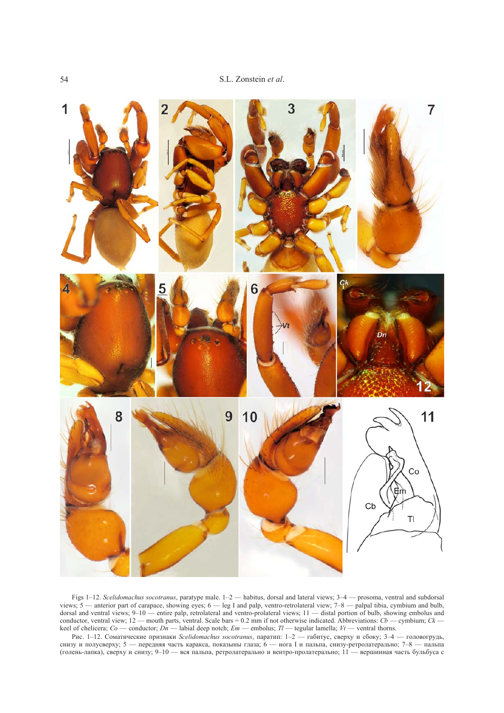

Figs 1–12. *Scelidomachus socotranus*, paratype male. 1–2 — habitus, dorsal and lateral views; 3–4 — prosoma, ventral and subdorsal views; 5 — anterior part of carapace, showing eyes; 6 — leg I and palp, ventro-retrolateral view; 7–8 — palpal tibia, cymbium and bulb, dorsal and ventral views; 9–10 — entire palp, retrolateral and ventro-prolateral views; 11 — distal portion of bulb, showing embolus and conductor, ventral view;  $12$  — mouth parts, ventral. Scale bars = 0.2 mm if not otherwise indicated. Abbreviations:  $Cb$  — cymbium;  $CK$  keel of chelicera; *Co* — conductor; *Dn* — labial deep notch; *Em* — embolus; *Tl* — tegular lamella; *Vt* — ventral thorns.

Рис. 1–12. Соматические признаки *Scelidomachus socotranus*, паратип: 1–2 — габитус, сверху и сбоку; 3–4 — головогрудь, снизу и полусверху; 5 — передняя часть каракса, показыны глаза; 6 — нога I и пальпа, снизу-ретролатерально; 7–8 — пальпа (голень-лапка), сверху и снизу; 9–10 — вся пальпа, ретролатерально и вентро-пролатерально; 11 — вершинная часть бульбуса с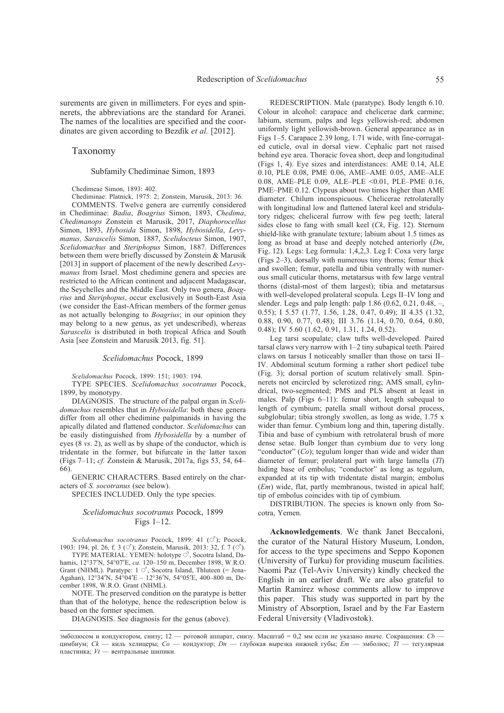surements are given in millimeters. For eyes and spinnerets, the abbreviations are the standard for Aranei. The names of the localities are specified and the coordinates are given according to Bezdìk *et al.* [2012].

#### Taxonomy

Subfamily Chediminae Simon, 1893

Chedimeae Simon, 1893: 402.

Chediminae: Platnick, 1975: 2; Zonstein, Marusik, 2013: 36. COMMENTS. Twelve genera are currently considered

in Chediminae: *Badia*, *Boagrius* Simon, 1893, *Chedima*, *Chedimanops* Zonstein et Marusik, 2017, *Diaphorocellus* Simon, 1893, *Hybosida* Simon, 1898, *Hybosidella*, *Levymanus, Sarascelis* Simon, 1887, *Scelidocteus* Simon, 1907, *Scelidomachus* and *Steriphopus* Simon, 1887. Differences between them were briefly discussed by Zonstein & Marusik [2013] in support of placement of the newly described *Levymanus* from Israel. Most chedimine genera and species are restricted to the African continent and adjacent Madagascar, the Seychelles and the Middle East. Only two genera, *Boagrius* and *Steriphopus*, occur exclusively in South-East Asia (we consider the East-African members of the former genus as not actually belonging to *Boagrius*; in our opinion they may belong to a new genus, as yet undescribed), whereas *Sarascelis* is distributed in both tropical Africa and South Asia [see Zonstein and Marusik 2013, fig. 51].

#### *Scelidomachus* Pocock, 1899

*Scelidomachus* Pocock, 1899: 151; 1903: 194.

TYPE SPECIES. *Scelidomachus socotranus* Pocock, 1899, by monotypy.

DIAGNOSIS. The structure of the palpal organ in *Scelidomachus* resembles that in *Hybosidella*: both these genera differ from all other chedimine palpimanids in having the apically dilated and flattened conductor. *Scelidomachus* can be easily distinguished from *Hybosidella* by a number of eyes (8 *vs*. 2), as well as by shape of the conductor, which is tridentate in the former, but bifurcate in the latter taxon (Figs 7–11; *cf.* Zonstein & Marusik, 2017a, figs 53, 54, 64– 66).

GENERIC CHARACTERS. Based entirely on the characters of *S. socotranus* (see below).

SPECIES INCLUDED. Only the type species.

#### *Scelidomachus socotranus* Pocock, 1899 Figs 1–12.

*Scelidomachus socotranus* Pocock, 1899: 41 ( $\circ$ ); Pocock, 1903: 194, pl. 26, f. 3 ( $\circlearrowleft$ ); Zonstein, Marusik, 2013: 32, f. 7 ( $\circlearrowleft$ ).

TYPE MATERIAL: YEMEN: holotype  $\circlearrowleft$ , Socotra Island, Dahamis, 12°37′N, 54°07′E, *ca*. 120–150 m, December 1898, W.R.O. Grant (NHML). Paratype:  $1 \circ$ , Socotra Island, Thluteen (= Jena-Agahan), 12°34′N, 54°04′E – 12°36′N, 54°05′E, 400–800 m, December 1898, W.R.O. Grant (NHML).

NOTE. The preserved condition on the paratype is better than that of the holotype, hence the redescription below is based on the former specimen.

DIAGNOSIS. See diagnosis for the genus (above).

Leg tarsi scopulate; claw tufts well-developed. Paired tarsal claws very narrow with 1–2 tiny subapical teeth. Paired claws on tarsus I noticeably smaller than those on tarsi II– IV. Abdominal scutum forming a rather short pedicel tube (Fig. 3); dorsal portion of scutum relatively small. Spinnerets not encircled by sclerotized ring; AMS small, cylindrical, two-segmented; PMS and PLS absent at least in males. Palp (Figs 6–11): femur short, length subequal to length of cymbium; patella small without dorsal process, subglobular; tibia strongly swollen, as long as wide, 1.75 x wider than femur. Cymbium long and thin, tapering distally. Tibia and base of cymbium with retrolateral brush of more dense setae. Bulb longer than cymbium due to very long "conductor" (*Co*); tegulum longer than wide and wider than diameter of femur; prolateral part with large lamella (*Tl*) hiding base of embolus; "conductor" as long as tegulum, expanded at its tip with tridentate distal margin; embolus (*Em*) wide, flat, partly membranous, twisted in apical half; tip of embolus coincides with tip of cymbium.

DISTRIBUTION. The species is known only from Socotra, Yemen.

**Acknowledgements**. We thank Janet Beccaloni, the curator of the Natural History Museum, London, for access to the type specimens and Seppo Koponen (University of Turku) for providing museum facilities. Naomi Paz (Tel-Aviv University) kindly checked the English in an earlier draft. We are also grateful to Martín Ramírez whose comments allow to improve this paper. This study was supported in part by the Ministry of Absorption, Israel and by the Far Eastern Federal University (Vladivostok).

REDESCRIPTION. Male (paratype). Body length 6.10. Colour in alcohol: carapace and chelicerae dark carmine; labium, sternum, palps and legs yellowish-red; abdomen uniformly light yellowish-brown. General appearance as in Figs 1–5. Carapace 2.39 long, 1.71 wide, with fine-corrugated cuticle, oval in dorsal view. Cephalic part not raised behind eye area. Thoracic fovea short, deep and longitudinal (Figs 1, 4). Eye sizes and interdistances: AME 0.14, ALE 0.10, PLE 0.08, PME 0.06, AME–AME 0.05, AME–ALE 0.08, AME–PLE 0.09, ALE–PLE <0.01, PLE–PME 0.16, PME–PME 0.12. Clypeus about two times higher than AME diameter. Chilum inconspicuous. Chelicerae retrolaterally with longitudinal low and flattened lateral keel and stridulatory ridges; cheliceral furrow with few peg teeth; lateral sides close to fang with small keel (*Ck*, Fig. 12). Sternum shield-like with granulate texture; labium about 1.5 times as long as broad at base and deeply notched anteriorly (*Dn*, Fig. 12). Legs: Leg formula: 1,4,2,3. Leg I: Coxa very large (Figs 2–3), dorsally with numerous tiny thorns; femur thick and swollen; femur, patella and tibia ventrally with numerous small cuticular thorns, metatarsus with few large ventral thorns (distal-most of them largest); tibia and metatarsus with well-developed prolateral scopula. Legs II–IV long and slender. Legs and palp length: palp 1.86 (0.62, 0.21, 0.48, –, 0.55); I 5.57 (1.77, 1.56, 1.28, 0.47, 0.49); II 4.35 (1.32, 0.88, 0.90, 0.77, 0.48); III 3.76 (1.14, 0.70, 0.64, 0.80, 0.48); IV 5.60 (1.62, 0.91, 1.31, 1.24, 0.52).

эмболюсом и кондуктором, снизу; 12 — ротовой аппарат, снизу. Масштаб = 0,2 мм если не указано иначе. Сокращения: *Cb* цимбиум; *Ck* — киль хелицеры; *Co* — кондуктор; *Dn* — глубокая вырезка нижней губы; *Em* — эмболюс; *Tl* — тегулярная пластинка; *Vt* — вентральные шипики.